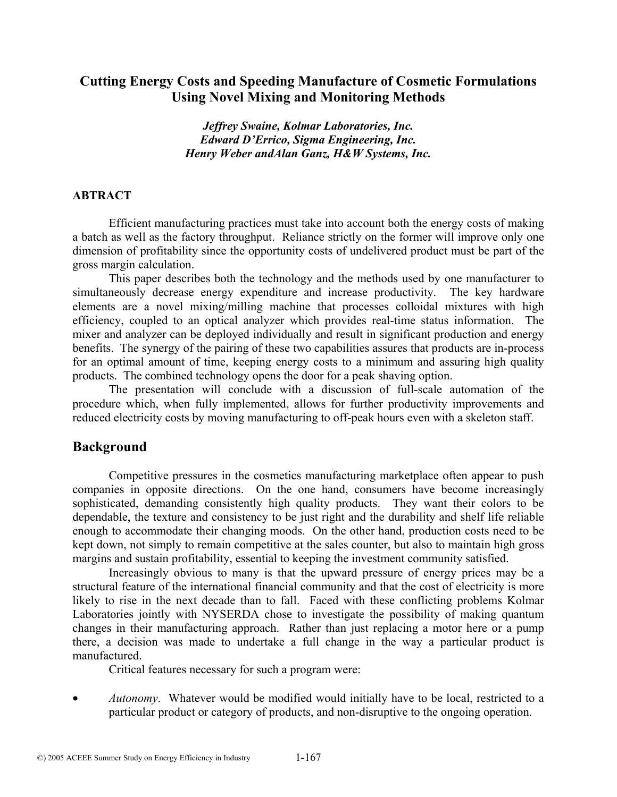## **Cutting Energy Costs and Speeding Manufacture of Cosmetic Formulations Using Novel Mixing and Monitoring Methods**

*Jeffrey Swaine, Kolmar Laboratories, Inc. Edward D'Errico, Sigma Engineering, Inc. Henry Weber andAlan Ganz, H&W Systems, Inc.*

#### **ABTRACT**

Efficient manufacturing practices must take into account both the energy costs of making a batch as well as the factory throughput. Reliance strictly on the former will improve only one dimension of profitability since the opportunity costs of undelivered product must be part of the gross margin calculation.

This paper describes both the technology and the methods used by one manufacturer to simultaneously decrease energy expenditure and increase productivity. The key hardware elements are a novel mixing/milling machine that processes colloidal mixtures with high efficiency, coupled to an optical analyzer which provides real-time status information. The mixer and analyzer can be deployed individually and result in significant production and energy benefits. The synergy of the pairing of these two capabilities assures that products are in-process for an optimal amount of time, keeping energy costs to a minimum and assuring high quality products. The combined technology opens the door for a peak shaving option.

The presentation will conclude with a discussion of full-scale automation of the procedure which, when fully implemented, allows for further productivity improvements and reduced electricity costs by moving manufacturing to off-peak hours even with a skeleton staff.

#### **Background**

Competitive pressures in the cosmetics manufacturing marketplace often appear to push companies in opposite directions. On the one hand, consumers have become increasingly sophisticated, demanding consistently high quality products. They want their colors to be dependable, the texture and consistency to be just right and the durability and shelf life reliable enough to accommodate their changing moods. On the other hand, production costs need to be kept down, not simply to remain competitive at the sales counter, but also to maintain high gross margins and sustain profitability, essential to keeping the investment community satisfied.

Increasingly obvious to many is that the upward pressure of energy prices may be a structural feature of the international financial community and that the cost of electricity is more likely to rise in the next decade than to fall. Faced with these conflicting problems Kolmar Laboratories jointly with NYSERDA chose to investigate the possibility of making quantum changes in their manufacturing approach. Rather than just replacing a motor here or a pump there, a decision was made to undertake a full change in the way a particular product is manufactured.

Critical features necessary for such a program were:

• *Autonomy*. Whatever would be modified would initially have to be local, restricted to a particular product or category of products, and non-disruptive to the ongoing operation.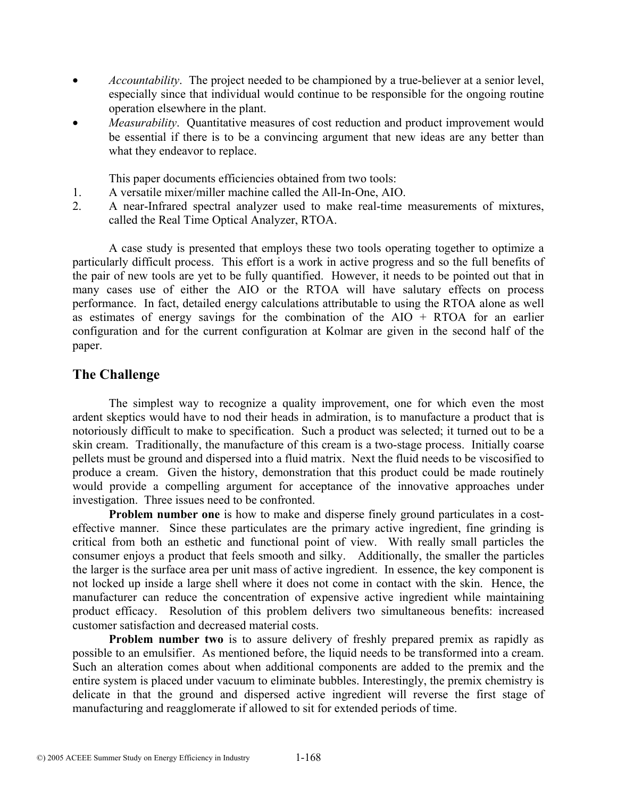- *Accountability*. The project needed to be championed by a true-believer at a senior level, especially since that individual would continue to be responsible for the ongoing routine operation elsewhere in the plant.
- *Measurability*. Quantitative measures of cost reduction and product improvement would be essential if there is to be a convincing argument that new ideas are any better than what they endeavor to replace.

This paper documents efficiencies obtained from two tools:

- 1. A versatile mixer/miller machine called the All-In-One, AIO.
- 2. A near-Infrared spectral analyzer used to make real-time measurements of mixtures, called the Real Time Optical Analyzer, RTOA.

A case study is presented that employs these two tools operating together to optimize a particularly difficult process. This effort is a work in active progress and so the full benefits of the pair of new tools are yet to be fully quantified. However, it needs to be pointed out that in many cases use of either the AIO or the RTOA will have salutary effects on process performance. In fact, detailed energy calculations attributable to using the RTOA alone as well as estimates of energy savings for the combination of the  $AIO + RTOA$  for an earlier configuration and for the current configuration at Kolmar are given in the second half of the paper.

## **The Challenge**

The simplest way to recognize a quality improvement, one for which even the most ardent skeptics would have to nod their heads in admiration, is to manufacture a product that is notoriously difficult to make to specification. Such a product was selected; it turned out to be a skin cream. Traditionally, the manufacture of this cream is a two-stage process. Initially coarse pellets must be ground and dispersed into a fluid matrix. Next the fluid needs to be viscosified to produce a cream. Given the history, demonstration that this product could be made routinely would provide a compelling argument for acceptance of the innovative approaches under investigation. Three issues need to be confronted.

**Problem number one** is how to make and disperse finely ground particulates in a costeffective manner. Since these particulates are the primary active ingredient, fine grinding is critical from both an esthetic and functional point of view. With really small particles the consumer enjoys a product that feels smooth and silky. Additionally, the smaller the particles the larger is the surface area per unit mass of active ingredient. In essence, the key component is not locked up inside a large shell where it does not come in contact with the skin. Hence, the manufacturer can reduce the concentration of expensive active ingredient while maintaining product efficacy. Resolution of this problem delivers two simultaneous benefits: increased customer satisfaction and decreased material costs.

**Problem number two** is to assure delivery of freshly prepared premix as rapidly as possible to an emulsifier. As mentioned before, the liquid needs to be transformed into a cream. Such an alteration comes about when additional components are added to the premix and the entire system is placed under vacuum to eliminate bubbles. Interestingly, the premix chemistry is delicate in that the ground and dispersed active ingredient will reverse the first stage of manufacturing and reagglomerate if allowed to sit for extended periods of time.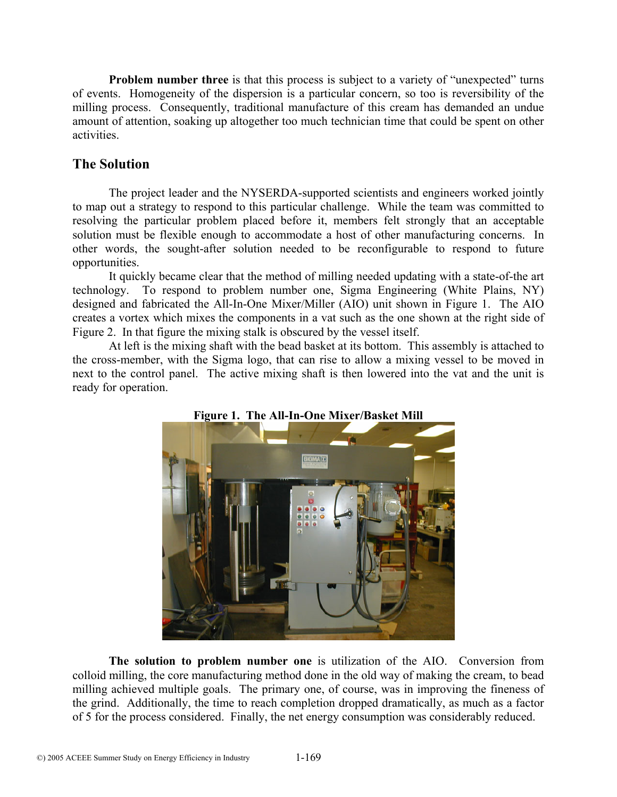**Problem number three** is that this process is subject to a variety of "unexpected" turns of events. Homogeneity of the dispersion is a particular concern, so too is reversibility of the milling process. Consequently, traditional manufacture of this cream has demanded an undue amount of attention, soaking up altogether too much technician time that could be spent on other activities.

# **The Solution**

The project leader and the NYSERDA-supported scientists and engineers worked jointly to map out a strategy to respond to this particular challenge. While the team was committed to resolving the particular problem placed before it, members felt strongly that an acceptable solution must be flexible enough to accommodate a host of other manufacturing concerns. In other words, the sought-after solution needed to be reconfigurable to respond to future opportunities.

It quickly became clear that the method of milling needed updating with a state-of-the art technology. To respond to problem number one, Sigma Engineering (White Plains, NY) designed and fabricated the All-In-One Mixer/Miller (AIO) unit shown in Figure 1. The AIO creates a vortex which mixes the components in a vat such as the one shown at the right side of Figure 2. In that figure the mixing stalk is obscured by the vessel itself.

At left is the mixing shaft with the bead basket at its bottom. This assembly is attached to the cross-member, with the Sigma logo, that can rise to allow a mixing vessel to be moved in next to the control panel. The active mixing shaft is then lowered into the vat and the unit is ready for operation.





**The solution to problem number one** is utilization of the AIO. Conversion from colloid milling, the core manufacturing method done in the old way of making the cream, to bead milling achieved multiple goals. The primary one, of course, was in improving the fineness of the grind. Additionally, the time to reach completion dropped dramatically, as much as a factor of 5 for the process considered. Finally, the net energy consumption was considerably reduced.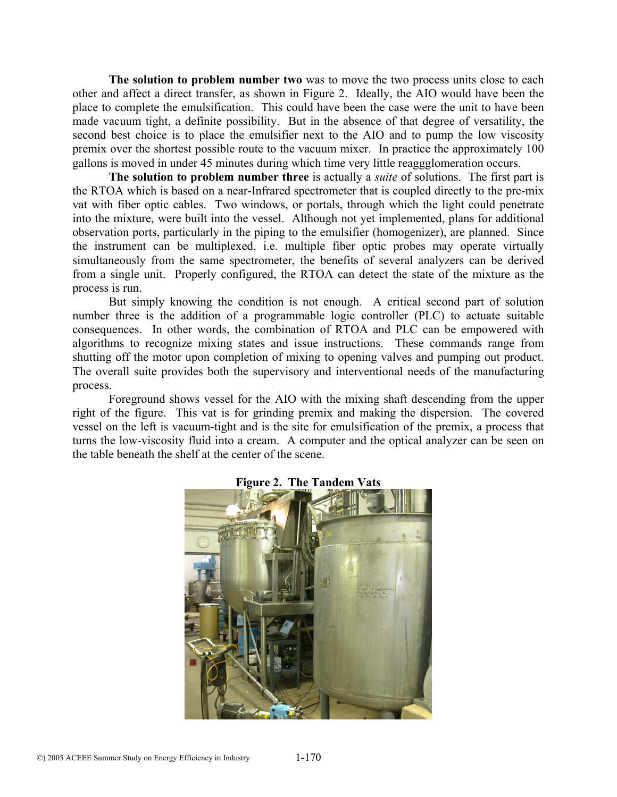**The solution to problem number two** was to move the two process units close to each other and affect a direct transfer, as shown in Figure 2. Ideally, the AIO would have been the place to complete the emulsification. This could have been the case were the unit to have been made vacuum tight, a definite possibility. But in the absence of that degree of versatility, the second best choice is to place the emulsifier next to the AIO and to pump the low viscosity premix over the shortest possible route to the vacuum mixer. In practice the approximately 100 gallons is moved in under 45 minutes during which time very little reaggglomeration occurs.

**The solution to problem number three** is actually a *suite* of solutions. The first part is the RTOA which is based on a near-Infrared spectrometer that is coupled directly to the pre-mix vat with fiber optic cables. Two windows, or portals, through which the light could penetrate into the mixture, were built into the vessel. Although not yet implemented, plans for additional observation ports, particularly in the piping to the emulsifier (homogenizer), are planned. Since the instrument can be multiplexed, i.e. multiple fiber optic probes may operate virtually simultaneously from the same spectrometer, the benefits of several analyzers can be derived from a single unit. Properly configured, the RTOA can detect the state of the mixture as the process is run.

But simply knowing the condition is not enough. A critical second part of solution number three is the addition of a programmable logic controller (PLC) to actuate suitable consequences. In other words, the combination of RTOA and PLC can be empowered with algorithms to recognize mixing states and issue instructions. These commands range from shutting off the motor upon completion of mixing to opening valves and pumping out product. The overall suite provides both the supervisory and interventional needs of the manufacturing process.

Foreground shows vessel for the AIO with the mixing shaft descending from the upper right of the figure. This vat is for grinding premix and making the dispersion. The covered vessel on the left is vacuum-tight and is the site for emulsification of the premix, a process that turns the low-viscosity fluid into a cream. A computer and the optical analyzer can be seen on the table beneath the shelf at the center of the scene.



**Figure 2. The Tandem Vats**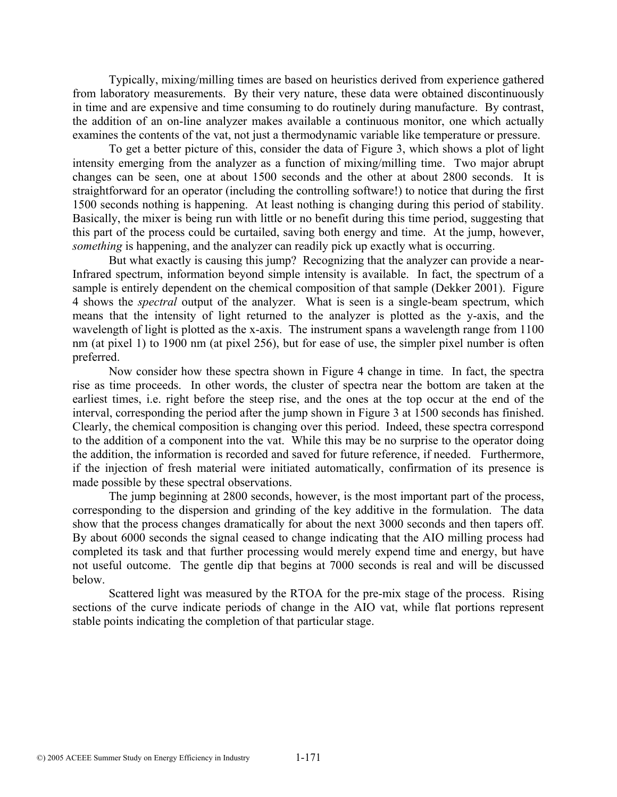Typically, mixing/milling times are based on heuristics derived from experience gathered from laboratory measurements. By their very nature, these data were obtained discontinuously in time and are expensive and time consuming to do routinely during manufacture. By contrast, the addition of an on-line analyzer makes available a continuous monitor, one which actually examines the contents of the vat, not just a thermodynamic variable like temperature or pressure.

To get a better picture of this, consider the data of Figure 3, which shows a plot of light intensity emerging from the analyzer as a function of mixing/milling time. Two major abrupt changes can be seen, one at about 1500 seconds and the other at about 2800 seconds. It is straightforward for an operator (including the controlling software!) to notice that during the first 1500 seconds nothing is happening. At least nothing is changing during this period of stability. Basically, the mixer is being run with little or no benefit during this time period, suggesting that this part of the process could be curtailed, saving both energy and time. At the jump, however, *something* is happening, and the analyzer can readily pick up exactly what is occurring.

But what exactly is causing this jump? Recognizing that the analyzer can provide a near-Infrared spectrum, information beyond simple intensity is available. In fact, the spectrum of a sample is entirely dependent on the chemical composition of that sample (Dekker 2001). Figure 4 shows the *spectral* output of the analyzer. What is seen is a single-beam spectrum, which means that the intensity of light returned to the analyzer is plotted as the y-axis, and the wavelength of light is plotted as the x-axis. The instrument spans a wavelength range from 1100 nm (at pixel 1) to 1900 nm (at pixel 256), but for ease of use, the simpler pixel number is often preferred.

Now consider how these spectra shown in Figure 4 change in time. In fact, the spectra rise as time proceeds. In other words, the cluster of spectra near the bottom are taken at the earliest times, i.e. right before the steep rise, and the ones at the top occur at the end of the interval, corresponding the period after the jump shown in Figure 3 at 1500 seconds has finished. Clearly, the chemical composition is changing over this period. Indeed, these spectra correspond to the addition of a component into the vat. While this may be no surprise to the operator doing the addition, the information is recorded and saved for future reference, if needed. Furthermore, if the injection of fresh material were initiated automatically, confirmation of its presence is made possible by these spectral observations.

The jump beginning at 2800 seconds, however, is the most important part of the process, corresponding to the dispersion and grinding of the key additive in the formulation. The data show that the process changes dramatically for about the next 3000 seconds and then tapers off. By about 6000 seconds the signal ceased to change indicating that the AIO milling process had completed its task and that further processing would merely expend time and energy, but have not useful outcome. The gentle dip that begins at 7000 seconds is real and will be discussed below.

Scattered light was measured by the RTOA for the pre-mix stage of the process. Rising sections of the curve indicate periods of change in the AIO vat, while flat portions represent stable points indicating the completion of that particular stage.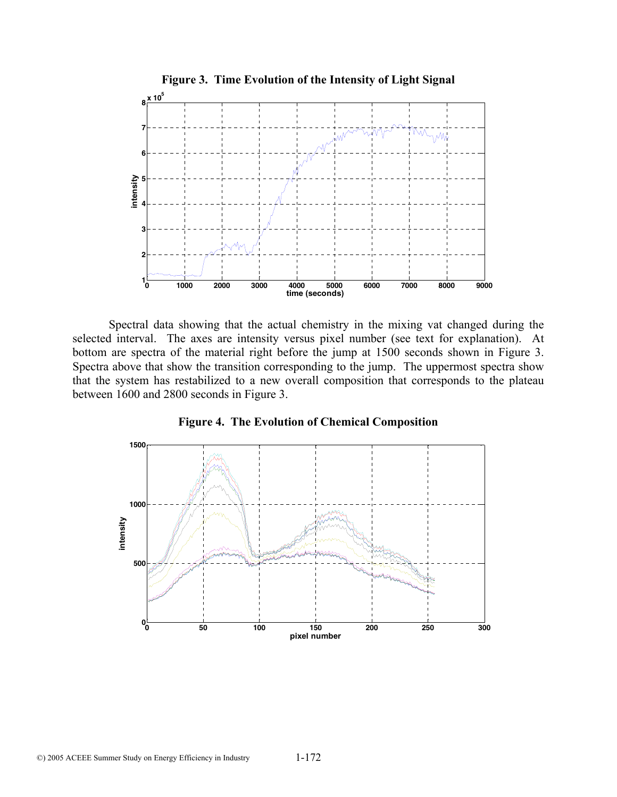

Spectral data showing that the actual chemistry in the mixing vat changed during the selected interval. The axes are intensity versus pixel number (see text for explanation). At bottom are spectra of the material right before the jump at 1500 seconds shown in Figure 3. Spectra above that show the transition corresponding to the jump. The uppermost spectra show that the system has restabilized to a new overall composition that corresponds to the plateau between 1600 and 2800 seconds in Figure 3.



**Figure 4. The Evolution of Chemical Composition**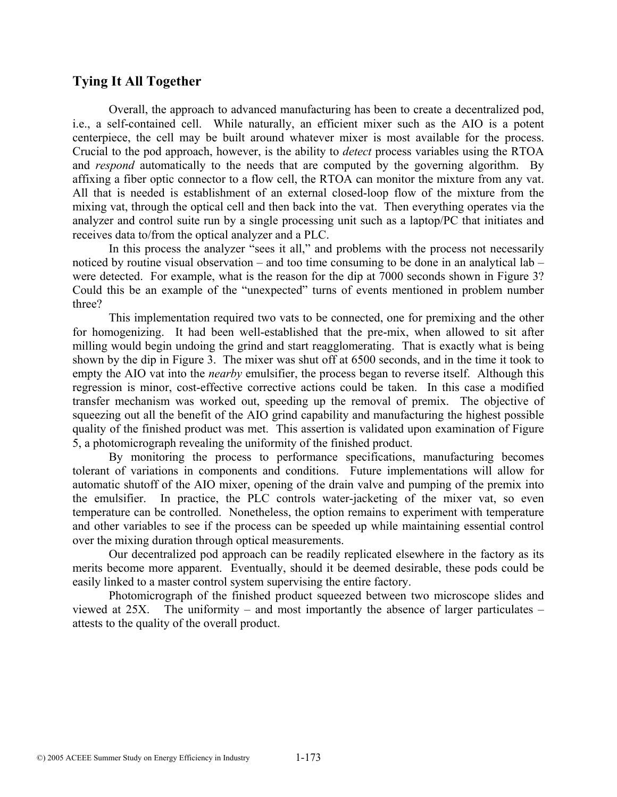## **Tying It All Together**

Overall, the approach to advanced manufacturing has been to create a decentralized pod, i.e., a self-contained cell. While naturally, an efficient mixer such as the AIO is a potent centerpiece, the cell may be built around whatever mixer is most available for the process. Crucial to the pod approach, however, is the ability to *detect* process variables using the RTOA and *respond* automatically to the needs that are computed by the governing algorithm. By affixing a fiber optic connector to a flow cell, the RTOA can monitor the mixture from any vat. All that is needed is establishment of an external closed-loop flow of the mixture from the mixing vat, through the optical cell and then back into the vat. Then everything operates via the analyzer and control suite run by a single processing unit such as a laptop/PC that initiates and receives data to/from the optical analyzer and a PLC.

In this process the analyzer "sees it all," and problems with the process not necessarily noticed by routine visual observation – and too time consuming to be done in an analytical lab – were detected. For example, what is the reason for the dip at 7000 seconds shown in Figure 3? Could this be an example of the "unexpected" turns of events mentioned in problem number three?

This implementation required two vats to be connected, one for premixing and the other for homogenizing. It had been well-established that the pre-mix, when allowed to sit after milling would begin undoing the grind and start reagglomerating. That is exactly what is being shown by the dip in Figure 3. The mixer was shut off at 6500 seconds, and in the time it took to empty the AIO vat into the *nearby* emulsifier, the process began to reverse itself. Although this regression is minor, cost-effective corrective actions could be taken. In this case a modified transfer mechanism was worked out, speeding up the removal of premix. The objective of squeezing out all the benefit of the AIO grind capability and manufacturing the highest possible quality of the finished product was met. This assertion is validated upon examination of Figure 5, a photomicrograph revealing the uniformity of the finished product.

By monitoring the process to performance specifications, manufacturing becomes tolerant of variations in components and conditions. Future implementations will allow for automatic shutoff of the AIO mixer, opening of the drain valve and pumping of the premix into the emulsifier. In practice, the PLC controls water-jacketing of the mixer vat, so even temperature can be controlled. Nonetheless, the option remains to experiment with temperature and other variables to see if the process can be speeded up while maintaining essential control over the mixing duration through optical measurements.

Our decentralized pod approach can be readily replicated elsewhere in the factory as its merits become more apparent. Eventually, should it be deemed desirable, these pods could be easily linked to a master control system supervising the entire factory.

Photomicrograph of the finished product squeezed between two microscope slides and viewed at 25X. The uniformity – and most importantly the absence of larger particulates – attests to the quality of the overall product.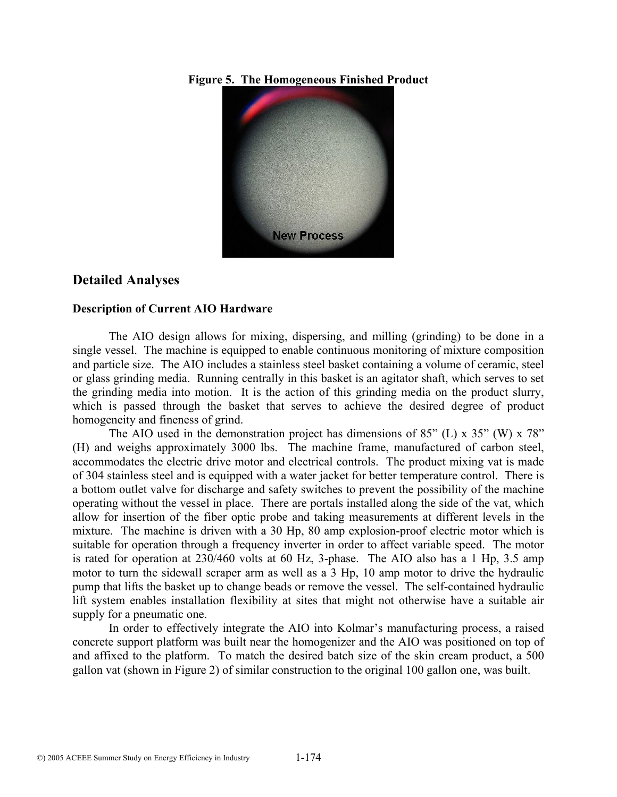**Figure 5. The Homogeneous Finished Product** 



### **Detailed Analyses**

#### **Description of Current AIO Hardware**

The AIO design allows for mixing, dispersing, and milling (grinding) to be done in a single vessel. The machine is equipped to enable continuous monitoring of mixture composition and particle size. The AIO includes a stainless steel basket containing a volume of ceramic, steel or glass grinding media. Running centrally in this basket is an agitator shaft, which serves to set the grinding media into motion. It is the action of this grinding media on the product slurry, which is passed through the basket that serves to achieve the desired degree of product homogeneity and fineness of grind.

The AIO used in the demonstration project has dimensions of  $85^{\circ}$  (L) x  $35^{\circ}$  (W) x  $78^{\circ}$ (H) and weighs approximately 3000 lbs. The machine frame, manufactured of carbon steel, accommodates the electric drive motor and electrical controls. The product mixing vat is made of 304 stainless steel and is equipped with a water jacket for better temperature control. There is a bottom outlet valve for discharge and safety switches to prevent the possibility of the machine operating without the vessel in place. There are portals installed along the side of the vat, which allow for insertion of the fiber optic probe and taking measurements at different levels in the mixture. The machine is driven with a 30 Hp, 80 amp explosion-proof electric motor which is suitable for operation through a frequency inverter in order to affect variable speed. The motor is rated for operation at 230/460 volts at 60 Hz, 3-phase. The AIO also has a 1 Hp, 3.5 amp motor to turn the sidewall scraper arm as well as a 3 Hp, 10 amp motor to drive the hydraulic pump that lifts the basket up to change beads or remove the vessel. The self-contained hydraulic lift system enables installation flexibility at sites that might not otherwise have a suitable air supply for a pneumatic one.

In order to effectively integrate the AIO into Kolmar's manufacturing process, a raised concrete support platform was built near the homogenizer and the AIO was positioned on top of and affixed to the platform. To match the desired batch size of the skin cream product, a 500 gallon vat (shown in Figure 2) of similar construction to the original 100 gallon one, was built.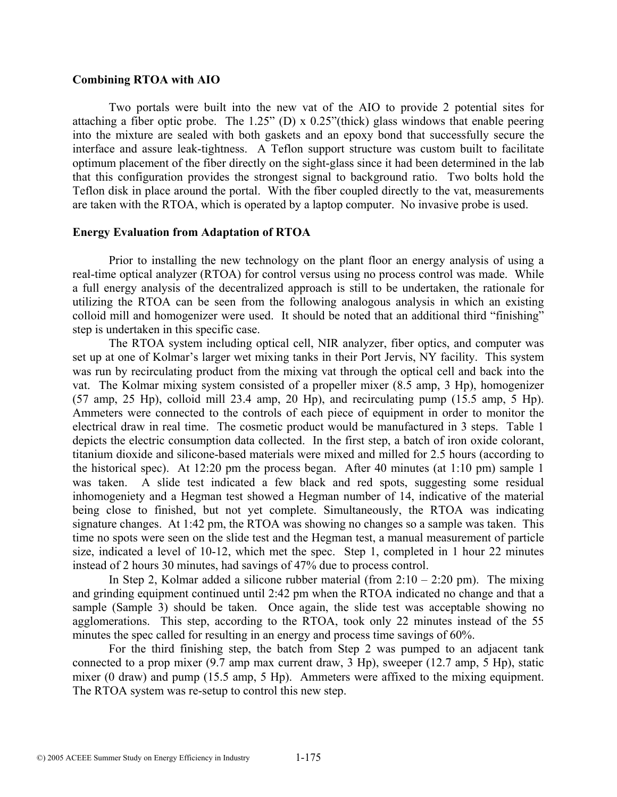#### **Combining RTOA with AIO**

Two portals were built into the new vat of the AIO to provide 2 potential sites for attaching a fiber optic probe. The 1.25" (D) x 0.25"(thick) glass windows that enable peering into the mixture are sealed with both gaskets and an epoxy bond that successfully secure the interface and assure leak-tightness. A Teflon support structure was custom built to facilitate optimum placement of the fiber directly on the sight-glass since it had been determined in the lab that this configuration provides the strongest signal to background ratio. Two bolts hold the Teflon disk in place around the portal. With the fiber coupled directly to the vat, measurements are taken with the RTOA, which is operated by a laptop computer. No invasive probe is used.

#### **Energy Evaluation from Adaptation of RTOA**

Prior to installing the new technology on the plant floor an energy analysis of using a real-time optical analyzer (RTOA) for control versus using no process control was made. While a full energy analysis of the decentralized approach is still to be undertaken, the rationale for utilizing the RTOA can be seen from the following analogous analysis in which an existing colloid mill and homogenizer were used. It should be noted that an additional third "finishing" step is undertaken in this specific case.

The RTOA system including optical cell, NIR analyzer, fiber optics, and computer was set up at one of Kolmar's larger wet mixing tanks in their Port Jervis, NY facility. This system was run by recirculating product from the mixing vat through the optical cell and back into the vat. The Kolmar mixing system consisted of a propeller mixer (8.5 amp, 3 Hp), homogenizer (57 amp, 25 Hp), colloid mill 23.4 amp, 20 Hp), and recirculating pump (15.5 amp, 5 Hp). Ammeters were connected to the controls of each piece of equipment in order to monitor the electrical draw in real time. The cosmetic product would be manufactured in 3 steps. Table 1 depicts the electric consumption data collected. In the first step, a batch of iron oxide colorant, titanium dioxide and silicone-based materials were mixed and milled for 2.5 hours (according to the historical spec). At 12:20 pm the process began. After 40 minutes (at 1:10 pm) sample 1 was taken. A slide test indicated a few black and red spots, suggesting some residual inhomogeniety and a Hegman test showed a Hegman number of 14, indicative of the material being close to finished, but not yet complete. Simultaneously, the RTOA was indicating signature changes. At 1:42 pm, the RTOA was showing no changes so a sample was taken. This time no spots were seen on the slide test and the Hegman test, a manual measurement of particle size, indicated a level of 10-12, which met the spec. Step 1, completed in 1 hour 22 minutes instead of 2 hours 30 minutes, had savings of 47% due to process control.

In Step 2, Kolmar added a silicone rubber material (from  $2:10 - 2:20$  pm). The mixing and grinding equipment continued until 2:42 pm when the RTOA indicated no change and that a sample (Sample 3) should be taken. Once again, the slide test was acceptable showing no agglomerations. This step, according to the RTOA, took only 22 minutes instead of the 55 minutes the spec called for resulting in an energy and process time savings of 60%.

For the third finishing step, the batch from Step 2 was pumped to an adjacent tank connected to a prop mixer (9.7 amp max current draw, 3 Hp), sweeper (12.7 amp, 5 Hp), static mixer (0 draw) and pump (15.5 amp, 5 Hp). Ammeters were affixed to the mixing equipment. The RTOA system was re-setup to control this new step.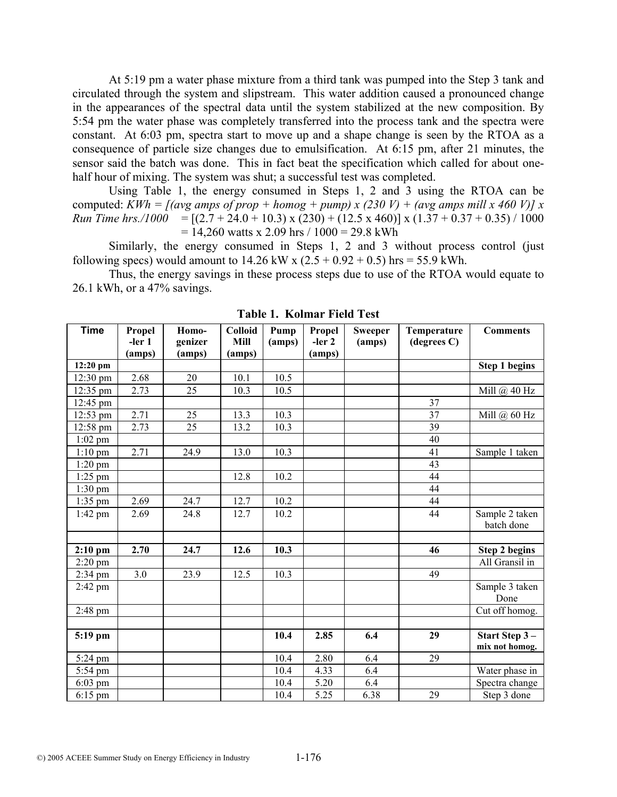At 5:19 pm a water phase mixture from a third tank was pumped into the Step 3 tank and circulated through the system and slipstream. This water addition caused a pronounced change in the appearances of the spectral data until the system stabilized at the new composition. By 5:54 pm the water phase was completely transferred into the process tank and the spectra were constant. At 6:03 pm, spectra start to move up and a shape change is seen by the RTOA as a consequence of particle size changes due to emulsification. At 6:15 pm, after 21 minutes, the sensor said the batch was done. This in fact beat the specification which called for about onehalf hour of mixing. The system was shut; a successful test was completed.

Using Table 1, the energy consumed in Steps 1, 2 and 3 using the RTOA can be computed: *KWh = [(avg amps of prop + homog + pump) x (230 V) + (avg amps mill x 460 V)] x Run Time hrs./1000* =  $[(2.7 + 24.0 + 10.3) \times (230) + (12.5 \times 460)] \times (1.37 + 0.37 + 0.35) / 1000$  $= 14,260$  watts x 2.09 hrs / 1000 = 29.8 kWh

Similarly, the energy consumed in Steps 1, 2 and 3 without process control (just following specs) would amount to  $14.26 \text{ kW} \times (2.5 + 0.92 + 0.5) \text{ hrs} = 55.9 \text{ kWh}$ .

Thus, the energy savings in these process steps due to use of the RTOA would equate to 26.1 kWh, or a 47% savings.

| <b>Time</b> | Propel             | Homo-             | <b>Colloid</b> | Pump   | Propel             | <b>Sweeper</b> | Temperature           | <b>Comments</b>                 |
|-------------|--------------------|-------------------|----------------|--------|--------------------|----------------|-----------------------|---------------------------------|
|             | $-ler 1$<br>(amps) | genizer<br>(amps) | Mill<br>(amps) | (amps) | $-ler 2$<br>(amps) | (amps)         | $(\text{degrees } C)$ |                                 |
| 12:20 pm    |                    |                   |                |        |                    |                |                       | <b>Step 1 begins</b>            |
| 12:30 pm    | 2.68               | 20                | 10.1           | 10.5   |                    |                |                       |                                 |
| 12:35 pm    | 2.73               | $\overline{25}$   | 10.3           | 10.5   |                    |                |                       | Mill @ 40 Hz                    |
| 12:45 pm    |                    |                   |                |        |                    |                | $\overline{37}$       |                                 |
| 12:53 pm    | 2.71               | 25                | 13.3           | 10.3   |                    |                | 37                    | Mill $(a)$ 60 Hz                |
| 12:58 pm    | 2.73               | $\overline{25}$   | 13.2           | 10.3   |                    |                | 39                    |                                 |
| $1:02$ pm   |                    |                   |                |        |                    |                | 40                    |                                 |
| $1:10$ pm   | 2.71               | 24.9              | 13.0           | 10.3   |                    |                | 41                    | Sample 1 taken                  |
| $1:20$ pm   |                    |                   |                |        |                    |                | $\overline{43}$       |                                 |
| $1:25$ pm   |                    |                   | 12.8           | 10.2   |                    |                | 44                    |                                 |
| $1:30$ pm   |                    |                   |                |        |                    |                | 44                    |                                 |
| $1:35$ pm   | 2.69               | 24.7              | 12.7           | 10.2   |                    |                | 44                    |                                 |
| $1:42$ pm   | 2.69               | 24.8              | 12.7           | 10.2   |                    |                | 44                    | Sample 2 taken<br>batch done    |
|             |                    |                   |                |        |                    |                |                       |                                 |
| $2:10$ pm   | 2.70               | 24.7              | 12.6           | 10.3   |                    |                | 46                    | <b>Step 2 begins</b>            |
| $2:20$ pm   |                    |                   |                |        |                    |                |                       | All Gransil in                  |
| $2:34$ pm   | 3.0                | 23.9              | 12.5           | 10.3   |                    |                | 49                    |                                 |
| 2:42 pm     |                    |                   |                |        |                    |                |                       | Sample 3 taken<br>Done          |
| $2:48$ pm   |                    |                   |                |        |                    |                |                       | Cut off homog.                  |
|             |                    |                   |                |        |                    |                |                       |                                 |
| 5:19 pm     |                    |                   |                | 10.4   | 2.85               | 6.4            | 29                    | Start Step 3-<br>mix not homog. |
| 5:24 pm     |                    |                   |                | 10.4   | 2.80               | 6.4            | 29                    |                                 |
| 5:54 pm     |                    |                   |                | 10.4   | 4.33               | 6.4            |                       | Water phase in                  |
| $6:03$ pm   |                    |                   |                | 10.4   | 5.20               | 6.4            |                       | Spectra change                  |
| $6:15$ pm   |                    |                   |                | 10.4   | 5.25               | 6.38           | 29                    | Step 3 done                     |

**Table 1. Kolmar Field Test**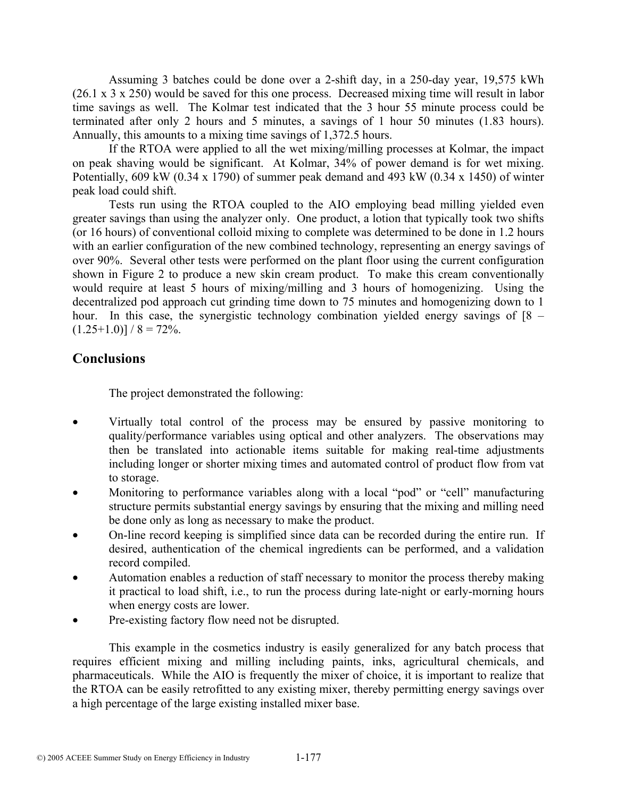Assuming 3 batches could be done over a 2-shift day, in a 250-day year, 19,575 kWh (26.1 x 3 x 250) would be saved for this one process. Decreased mixing time will result in labor time savings as well. The Kolmar test indicated that the 3 hour 55 minute process could be terminated after only 2 hours and 5 minutes, a savings of 1 hour 50 minutes (1.83 hours). Annually, this amounts to a mixing time savings of 1,372.5 hours.

If the RTOA were applied to all the wet mixing/milling processes at Kolmar, the impact on peak shaving would be significant. At Kolmar, 34% of power demand is for wet mixing. Potentially, 609 kW (0.34 x 1790) of summer peak demand and 493 kW (0.34 x 1450) of winter peak load could shift.

Tests run using the RTOA coupled to the AIO employing bead milling yielded even greater savings than using the analyzer only. One product, a lotion that typically took two shifts (or 16 hours) of conventional colloid mixing to complete was determined to be done in 1.2 hours with an earlier configuration of the new combined technology, representing an energy savings of over 90%. Several other tests were performed on the plant floor using the current configuration shown in Figure 2 to produce a new skin cream product. To make this cream conventionally would require at least 5 hours of mixing/milling and 3 hours of homogenizing. Using the decentralized pod approach cut grinding time down to 75 minutes and homogenizing down to 1 hour. In this case, the synergistic technology combination yielded energy savings of [8 –  $(1.25+1.0)$ ] / 8 = 72%.

## **Conclusions**

The project demonstrated the following:

- Virtually total control of the process may be ensured by passive monitoring to quality/performance variables using optical and other analyzers. The observations may then be translated into actionable items suitable for making real-time adjustments including longer or shorter mixing times and automated control of product flow from vat to storage.
- Monitoring to performance variables along with a local "pod" or "cell" manufacturing structure permits substantial energy savings by ensuring that the mixing and milling need be done only as long as necessary to make the product.
- On-line record keeping is simplified since data can be recorded during the entire run. If desired, authentication of the chemical ingredients can be performed, and a validation record compiled.
- Automation enables a reduction of staff necessary to monitor the process thereby making it practical to load shift, i.e., to run the process during late-night or early-morning hours when energy costs are lower.
- Pre-existing factory flow need not be disrupted.

 This example in the cosmetics industry is easily generalized for any batch process that requires efficient mixing and milling including paints, inks, agricultural chemicals, and pharmaceuticals. While the AIO is frequently the mixer of choice, it is important to realize that the RTOA can be easily retrofitted to any existing mixer, thereby permitting energy savings over a high percentage of the large existing installed mixer base.